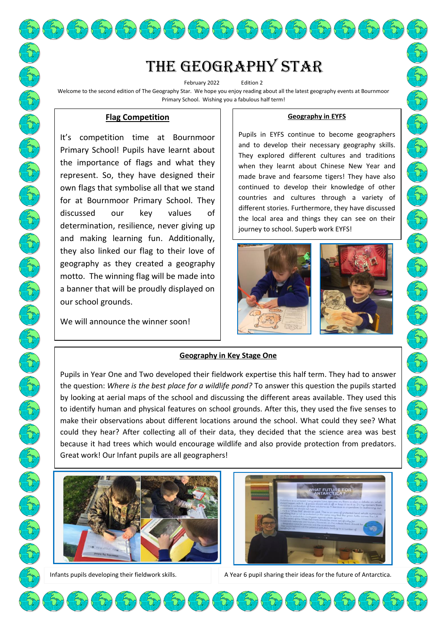# The Geography star

February 2022 Edition 2 Welcome to the second edition of The Geography Star. We hope you enjoy reading about all the latest geography events at Bournmoor Primary School. Wishing you a fabulous half term!

# **Flag Competition**

It's competition time at Bournmoor Primary School! Pupils have learnt about the importance of flags and what they represent. So, they have designed their own flags that symbolise all that we stand for at Bournmoor Primary School. They discussed our key values of determination, resilience, never giving up and making learning fun. Additionally, they also linked our flag to their love of geography as they created a geography motto. The winning flag will be made into a banner that will be proudly displayed on our school grounds.

We will announce the winner soon!

#### **Geography in EYFS**

Pupils in EYFS continue to become geographers and to develop their necessary geography skills. They explored different cultures and traditions when they learnt about Chinese New Year and made brave and fearsome tigers! They have also continued to develop their knowledge of other countries and cultures through a variety of different stories. Furthermore, they have discussed the local area and things they can see on their journey to school. Superb work EYFS!





# **Geography in Key Stage One**

Pupils in Year One and Two developed their fieldwork expertise this half term. They had to answer the question: *Where is the best place for a wildlife pond?* To answer this question the pupils started by looking at aerial maps of the school and discussing the different areas available. They used this to identify human and physical features on school grounds. After this, they used the five senses to make their observations about different locations around the school. What could they see? What could they hear? After collecting all of their data, they decided that the science area was best because it had trees which would encourage wildlife and also provide protection from predators. Great work! Our Infant pupils are all geographers!

**Company** 

 $\mathbb{Z}$ 







Infants pupils developing their fieldwork skills. A Year 6 pupil sharing their ideas for the future of Antarctica.

**Control** 

E